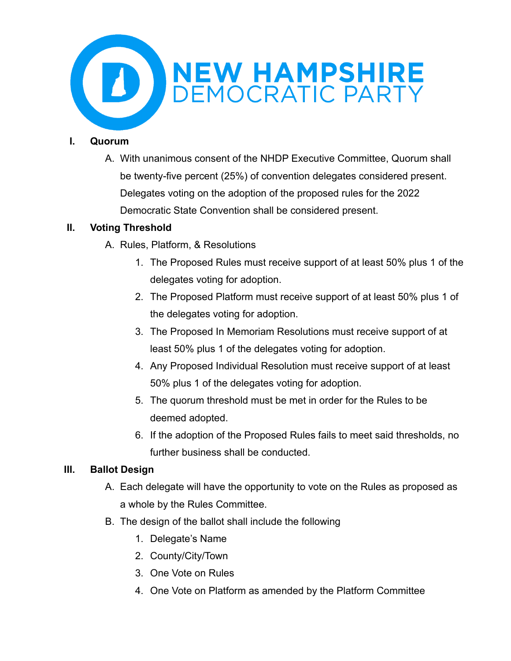

### **I. Quorum**

A. With unanimous consent of the NHDP Executive Committee, Quorum shall be twenty-five percent (25%) of convention delegates considered present. Delegates voting on the adoption of the proposed rules for the 2022 Democratic State Convention shall be considered present.

## **II. Voting Threshold**

- A. Rules, Platform, & Resolutions
	- 1. The Proposed Rules must receive support of at least 50% plus 1 of the delegates voting for adoption.
	- 2. The Proposed Platform must receive support of at least 50% plus 1 of the delegates voting for adoption.
	- 3. The Proposed In Memoriam Resolutions must receive support of at least 50% plus 1 of the delegates voting for adoption.
	- 4. Any Proposed Individual Resolution must receive support of at least 50% plus 1 of the delegates voting for adoption.
	- 5. The quorum threshold must be met in order for the Rules to be deemed adopted.
	- 6. If the adoption of the Proposed Rules fails to meet said thresholds, no further business shall be conducted.

## **III. Ballot Design**

- A. Each delegate will have the opportunity to vote on the Rules as proposed as a whole by the Rules Committee.
- B. The design of the ballot shall include the following
	- 1. Delegate's Name
	- 2. County/City/Town
	- 3. One Vote on Rules
	- 4. One Vote on Platform as amended by the Platform Committee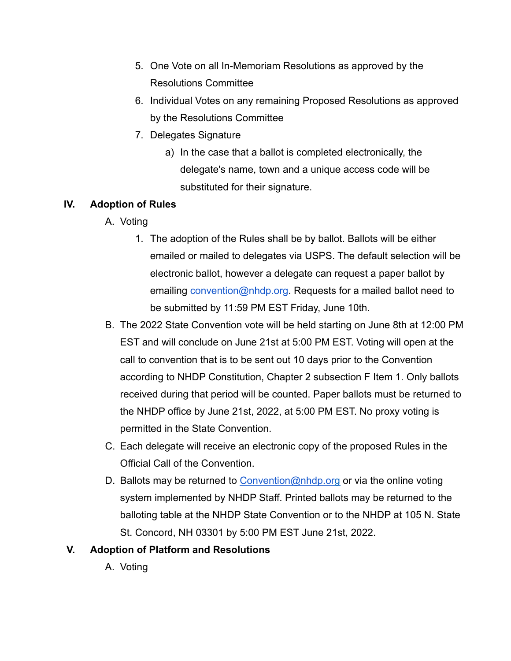- 5. One Vote on all In-Memoriam Resolutions as approved by the Resolutions Committee
- 6. Individual Votes on any remaining Proposed Resolutions as approved by the Resolutions Committee
- 7. Delegates Signature
	- a) In the case that a ballot is completed electronically, the delegate's name, town and a unique access code will be substituted for their signature.

## **IV. Adoption of Rules**

- A. Voting
	- 1. The adoption of the Rules shall be by ballot. Ballots will be either emailed or mailed to delegates via USPS. The default selection will be electronic ballot, however a delegate can request a paper ballot by emailing [convention@nhdp.org.](mailto:convention@nhdp.org) Requests for a mailed ballot need to be submitted by 11:59 PM EST Friday, June 10th.
- B. The 2022 State Convention vote will be held starting on June 8th at 12:00 PM EST and will conclude on June 21st at 5:00 PM EST. Voting will open at the call to convention that is to be sent out 10 days prior to the Convention according to NHDP Constitution, Chapter 2 subsection F Item 1. Only ballots received during that period will be counted. Paper ballots must be returned to the NHDP office by June 21st, 2022, at 5:00 PM EST. No proxy voting is permitted in the State Convention.
- C. Each delegate will receive an electronic copy of the proposed Rules in the Official Call of the Convention.
- D. Ballots may be returned to [Convention@nhdp.org](mailto:rulescommittee@nhdp.org) or via the online voting system implemented by NHDP Staff. Printed ballots may be returned to the balloting table at the NHDP State Convention or to the NHDP at 105 N. State St. Concord, NH 03301 by 5:00 PM EST June 21st, 2022.

# **V. Adoption of Platform and Resolutions**

A. Voting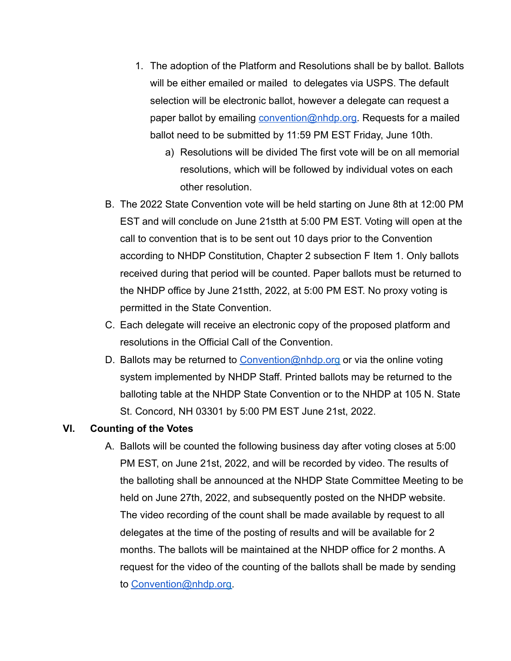- 1. The adoption of the Platform and Resolutions shall be by ballot. Ballots will be either emailed or mailed to delegates via USPS. The default selection will be electronic ballot, however a delegate can request a paper ballot by emailing [convention@nhdp.org.](mailto:convention@nhdp.org) Requests for a mailed ballot need to be submitted by 11:59 PM EST Friday, June 10th.
	- a) Resolutions will be divided The first vote will be on all memorial resolutions, which will be followed by individual votes on each other resolution.
- B. The 2022 State Convention vote will be held starting on June 8th at 12:00 PM EST and will conclude on June 21stth at 5:00 PM EST. Voting will open at the call to convention that is to be sent out 10 days prior to the Convention according to NHDP Constitution, Chapter 2 subsection F Item 1. Only ballots received during that period will be counted. Paper ballots must be returned to the NHDP office by June 21stth, 2022, at 5:00 PM EST. No proxy voting is permitted in the State Convention.
- C. Each delegate will receive an electronic copy of the proposed platform and resolutions in the Official Call of the Convention.
- D. Ballots may be returned to [Convention@nhdp.org](mailto:rulescommittee@nhdp.org) or via the online voting system implemented by NHDP Staff. Printed ballots may be returned to the balloting table at the NHDP State Convention or to the NHDP at 105 N. State St. Concord, NH 03301 by 5:00 PM EST June 21st, 2022.

### **VI. Counting of the Votes**

A. Ballots will be counted the following business day after voting closes at 5:00 PM EST, on June 21st, 2022, and will be recorded by video. The results of the balloting shall be announced at the NHDP State Committee Meeting to be held on June 27th, 2022, and subsequently posted on the NHDP website. The video recording of the count shall be made available by request to all delegates at the time of the posting of results and will be available for 2 months. The ballots will be maintained at the NHDP office for 2 months. A request for the video of the counting of the ballots shall be made by sending to [Convention@nhdp.org](mailto:rulescommittee@nhdp.org).